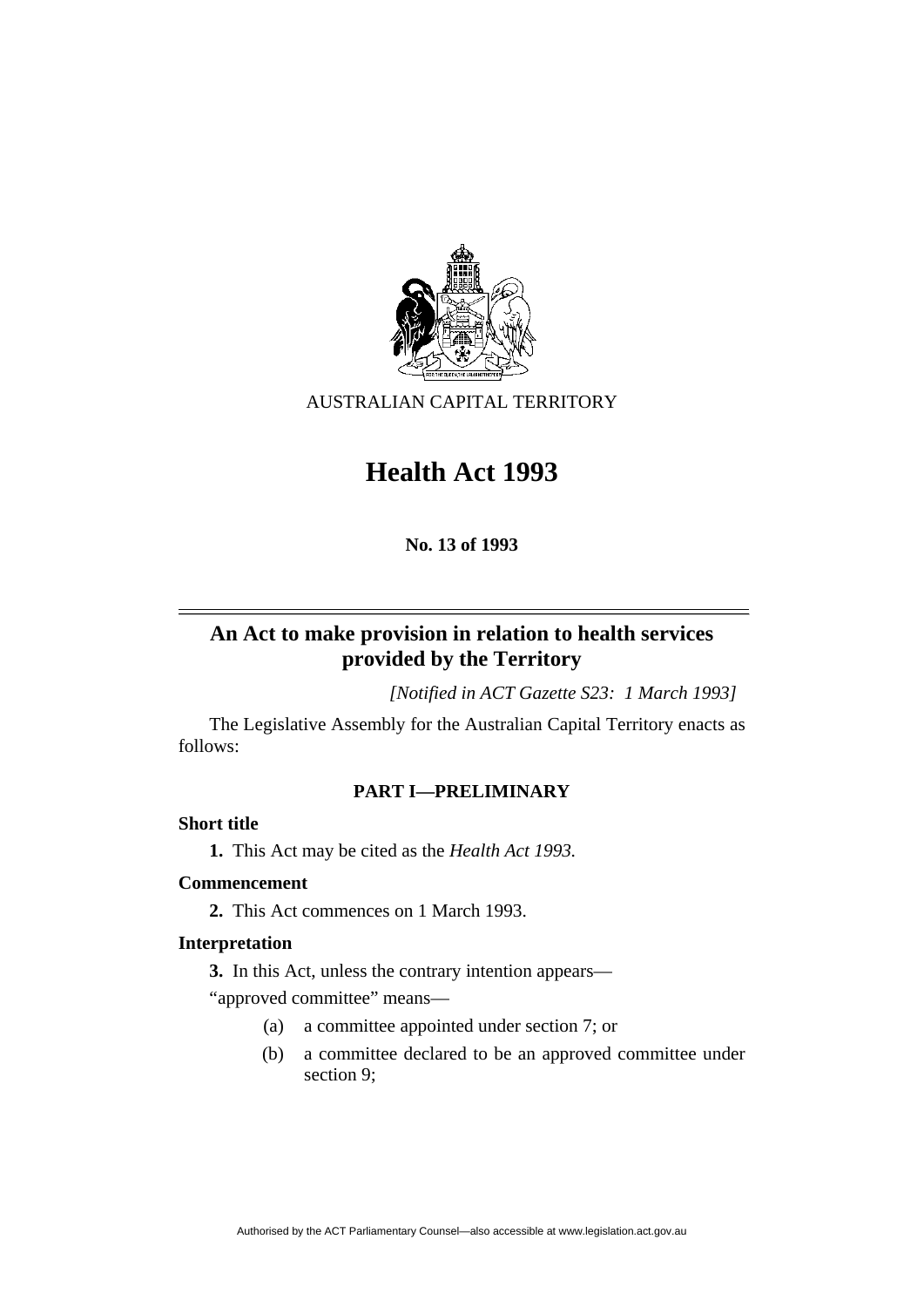

AUSTRALIAN CAPITAL TERRITORY

# **Health Act 1993**

**No. 13 of 1993** 

# **An Act to make provision in relation to health services provided by the Territory**

*[Notified in ACT Gazette S23: 1 March 1993]*

 The Legislative Assembly for the Australian Capital Territory enacts as follows:

# **PART I—PRELIMINARY**

# **Short title**

**1.** This Act may be cited as the *Health Act 1993.*

# **Commencement**

**2.** This Act commences on 1 March 1993.

# **Interpretation**

**3.** In this Act, unless the contrary intention appears—

"approved committee" means—

- (a) a committee appointed under section 7; or
- (b) a committee declared to be an approved committee under section 9;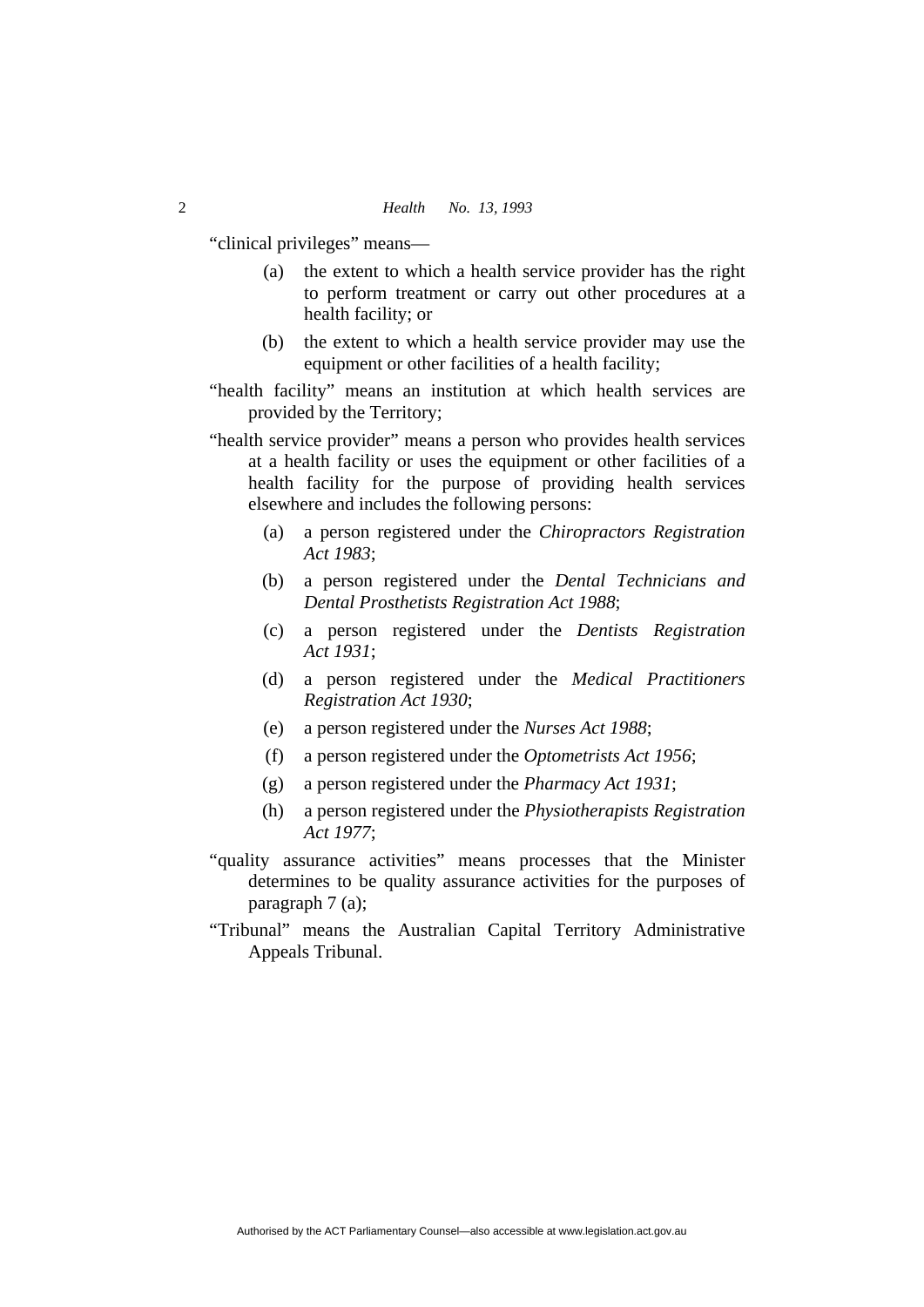"clinical privileges" means—

- (a) the extent to which a health service provider has the right to perform treatment or carry out other procedures at a health facility; or
- (b) the extent to which a health service provider may use the equipment or other facilities of a health facility;
- "health facility" means an institution at which health services are provided by the Territory;
- "health service provider" means a person who provides health services at a health facility or uses the equipment or other facilities of a health facility for the purpose of providing health services elsewhere and includes the following persons:
	- (a) a person registered under the *Chiropractors Registration Act 1983*;
	- (b) a person registered under the *Dental Technicians and Dental Prosthetists Registration Act 1988*;
	- (c) a person registered under the *Dentists Registration Act 1931*;
	- (d) a person registered under the *Medical Practitioners Registration Act 1930*;
	- (e) a person registered under the *Nurses Act 1988*;
	- (f) a person registered under the *Optometrists Act 1956*;
	- (g) a person registered under the *Pharmacy Act 1931*;
	- (h) a person registered under the *Physiotherapists Registration Act 1977*;
- "quality assurance activities" means processes that the Minister determines to be quality assurance activities for the purposes of paragraph 7 (a);
- "Tribunal" means the Australian Capital Territory Administrative Appeals Tribunal.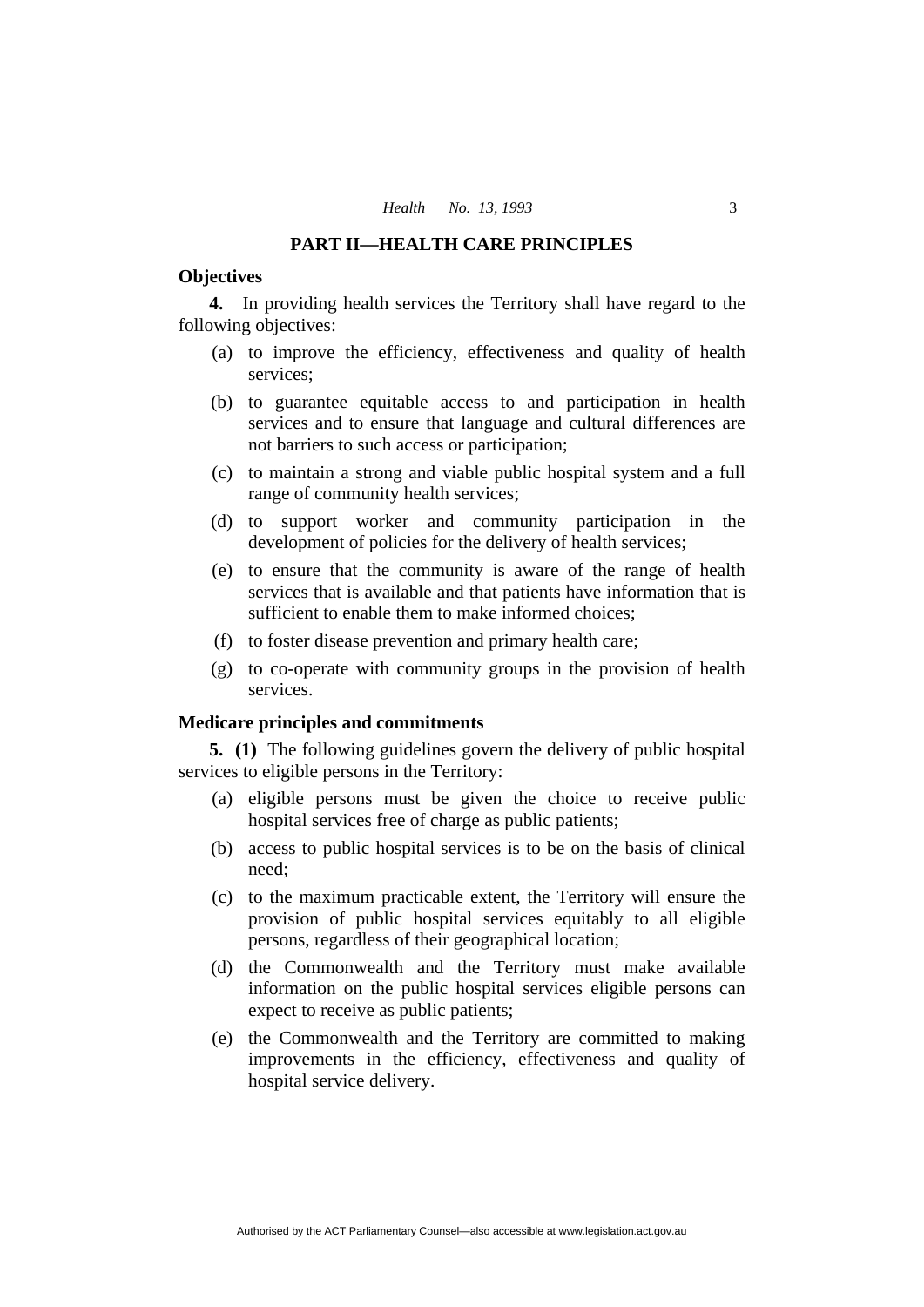#### **PART II—HEALTH CARE PRINCIPLES**

### **Objectives**

**4.** In providing health services the Territory shall have regard to the following objectives:

- (a) to improve the efficiency, effectiveness and quality of health services;
- (b) to guarantee equitable access to and participation in health services and to ensure that language and cultural differences are not barriers to such access or participation;
- (c) to maintain a strong and viable public hospital system and a full range of community health services;
- (d) to support worker and community participation in the development of policies for the delivery of health services;
- (e) to ensure that the community is aware of the range of health services that is available and that patients have information that is sufficient to enable them to make informed choices;
- (f) to foster disease prevention and primary health care;
- (g) to co-operate with community groups in the provision of health services.

### **Medicare principles and commitments**

**5. (1)** The following guidelines govern the delivery of public hospital services to eligible persons in the Territory:

- (a) eligible persons must be given the choice to receive public hospital services free of charge as public patients;
- (b) access to public hospital services is to be on the basis of clinical need;
- (c) to the maximum practicable extent, the Territory will ensure the provision of public hospital services equitably to all eligible persons, regardless of their geographical location;
- (d) the Commonwealth and the Territory must make available information on the public hospital services eligible persons can expect to receive as public patients;
- (e) the Commonwealth and the Territory are committed to making improvements in the efficiency, effectiveness and quality of hospital service delivery.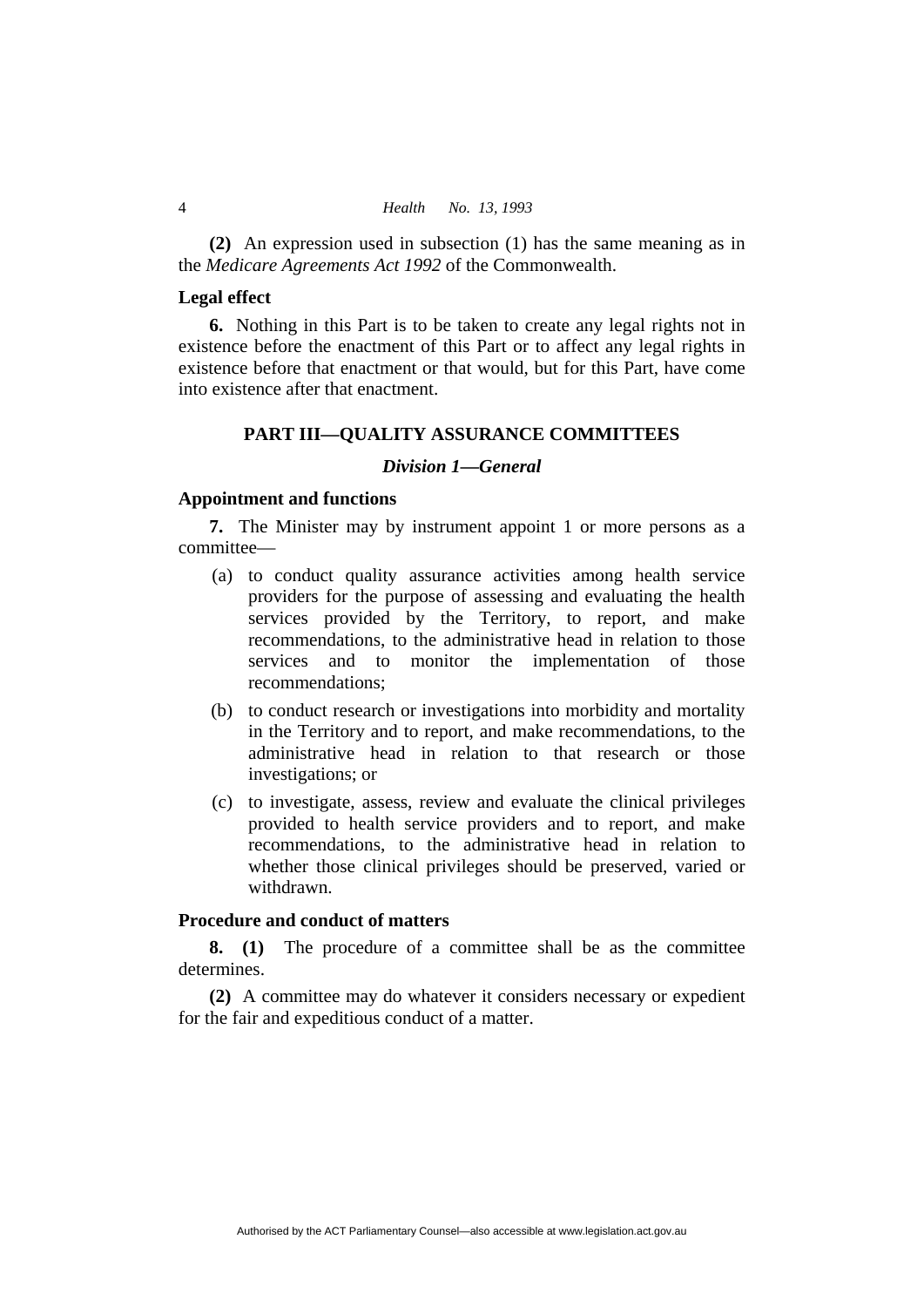**(2)** An expression used in subsection (1) has the same meaning as in the *Medicare Agreements Act 1992* of the Commonwealth.

# **Legal effect**

**6.** Nothing in this Part is to be taken to create any legal rights not in existence before the enactment of this Part or to affect any legal rights in existence before that enactment or that would, but for this Part, have come into existence after that enactment.

# **PART III—QUALITY ASSURANCE COMMITTEES**

#### *Division 1—General*

#### **Appointment and functions**

**7.** The Minister may by instrument appoint 1 or more persons as a committee—

- (a) to conduct quality assurance activities among health service providers for the purpose of assessing and evaluating the health services provided by the Territory, to report, and make recommendations, to the administrative head in relation to those services and to monitor the implementation of those recommendations;
- (b) to conduct research or investigations into morbidity and mortality in the Territory and to report, and make recommendations, to the administrative head in relation to that research or those investigations; or
- (c) to investigate, assess, review and evaluate the clinical privileges provided to health service providers and to report, and make recommendations, to the administrative head in relation to whether those clinical privileges should be preserved, varied or withdrawn.

### **Procedure and conduct of matters**

**8. (1)** The procedure of a committee shall be as the committee determines.

**(2)** A committee may do whatever it considers necessary or expedient for the fair and expeditious conduct of a matter.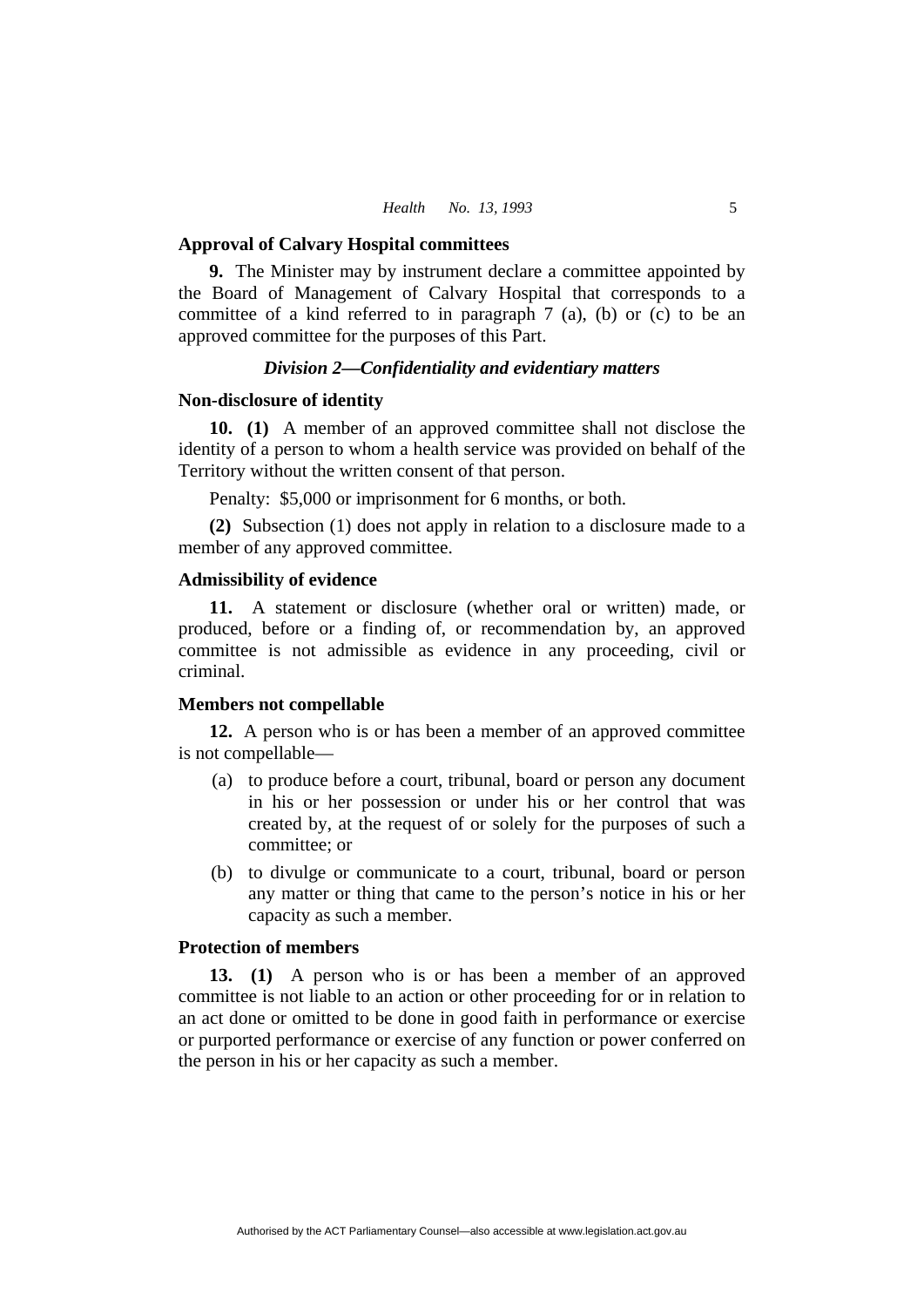#### **Approval of Calvary Hospital committees**

**9.** The Minister may by instrument declare a committee appointed by the Board of Management of Calvary Hospital that corresponds to a committee of a kind referred to in paragraph 7 (a), (b) or (c) to be an approved committee for the purposes of this Part.

#### *Division 2—Confidentiality and evidentiary matters*

#### **Non-disclosure of identity**

**10. (1)** A member of an approved committee shall not disclose the identity of a person to whom a health service was provided on behalf of the Territory without the written consent of that person.

Penalty: \$5,000 or imprisonment for 6 months, or both.

**(2)** Subsection (1) does not apply in relation to a disclosure made to a member of any approved committee.

#### **Admissibility of evidence**

**11.** A statement or disclosure (whether oral or written) made, or produced, before or a finding of, or recommendation by, an approved committee is not admissible as evidence in any proceeding, civil or criminal.

#### **Members not compellable**

**12.** A person who is or has been a member of an approved committee is not compellable—

- (a) to produce before a court, tribunal, board or person any document in his or her possession or under his or her control that was created by, at the request of or solely for the purposes of such a committee; or
- (b) to divulge or communicate to a court, tribunal, board or person any matter or thing that came to the person's notice in his or her capacity as such a member.

#### **Protection of members**

**13. (1)** A person who is or has been a member of an approved committee is not liable to an action or other proceeding for or in relation to an act done or omitted to be done in good faith in performance or exercise or purported performance or exercise of any function or power conferred on the person in his or her capacity as such a member.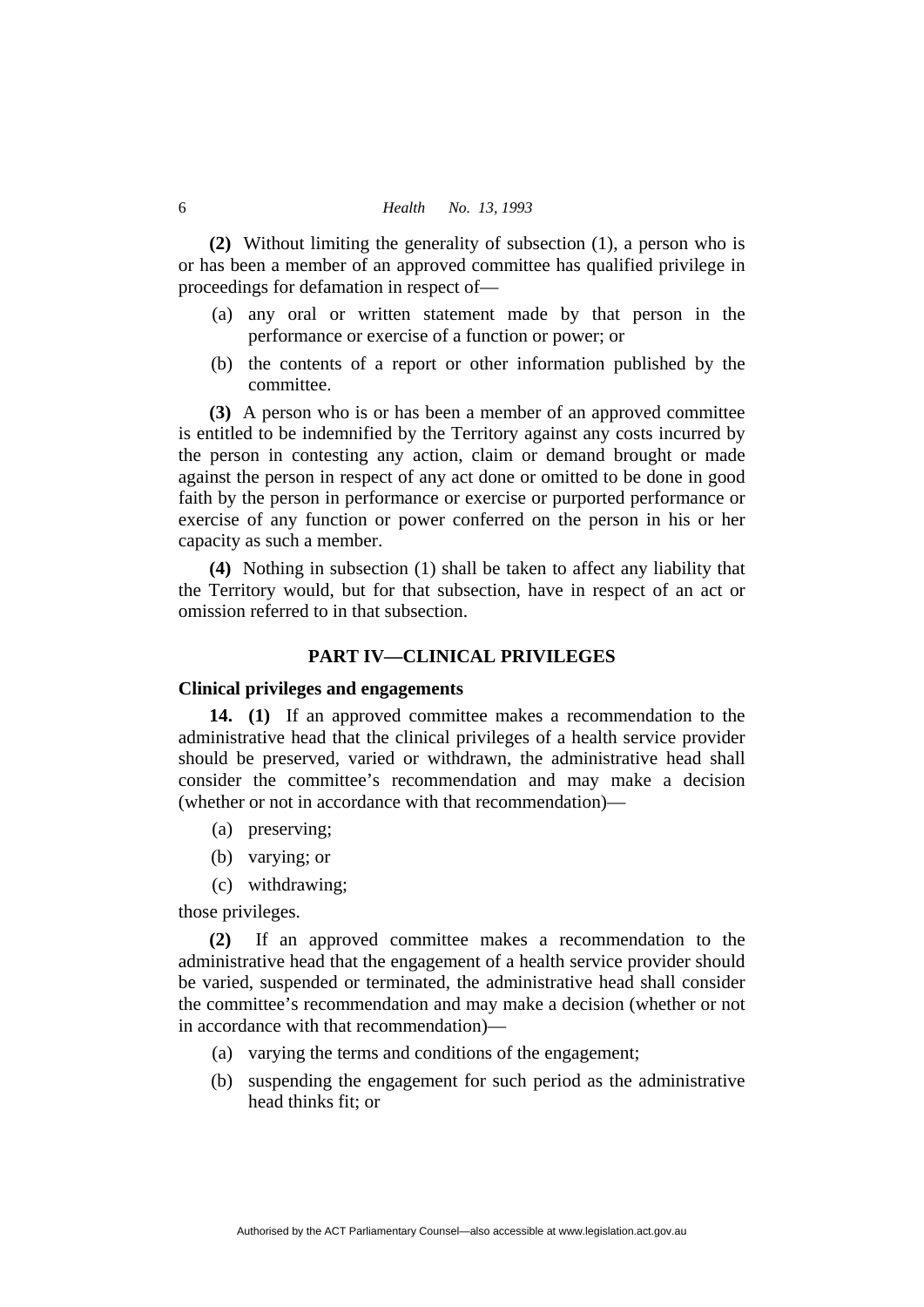**(2)** Without limiting the generality of subsection (1), a person who is or has been a member of an approved committee has qualified privilege in proceedings for defamation in respect of—

- (a) any oral or written statement made by that person in the performance or exercise of a function or power; or
- (b) the contents of a report or other information published by the committee.

**(3)** A person who is or has been a member of an approved committee is entitled to be indemnified by the Territory against any costs incurred by the person in contesting any action, claim or demand brought or made against the person in respect of any act done or omitted to be done in good faith by the person in performance or exercise or purported performance or exercise of any function or power conferred on the person in his or her capacity as such a member.

**(4)** Nothing in subsection (1) shall be taken to affect any liability that the Territory would, but for that subsection, have in respect of an act or omission referred to in that subsection.

#### **PART IV—CLINICAL PRIVILEGES**

#### **Clinical privileges and engagements**

**14. (1)** If an approved committee makes a recommendation to the administrative head that the clinical privileges of a health service provider should be preserved, varied or withdrawn, the administrative head shall consider the committee's recommendation and may make a decision (whether or not in accordance with that recommendation)—

- (a) preserving;
- (b) varying; or
- (c) withdrawing;

those privileges.

**(2)** If an approved committee makes a recommendation to the administrative head that the engagement of a health service provider should be varied, suspended or terminated, the administrative head shall consider the committee's recommendation and may make a decision (whether or not in accordance with that recommendation)—

- (a) varying the terms and conditions of the engagement;
- (b) suspending the engagement for such period as the administrative head thinks fit; or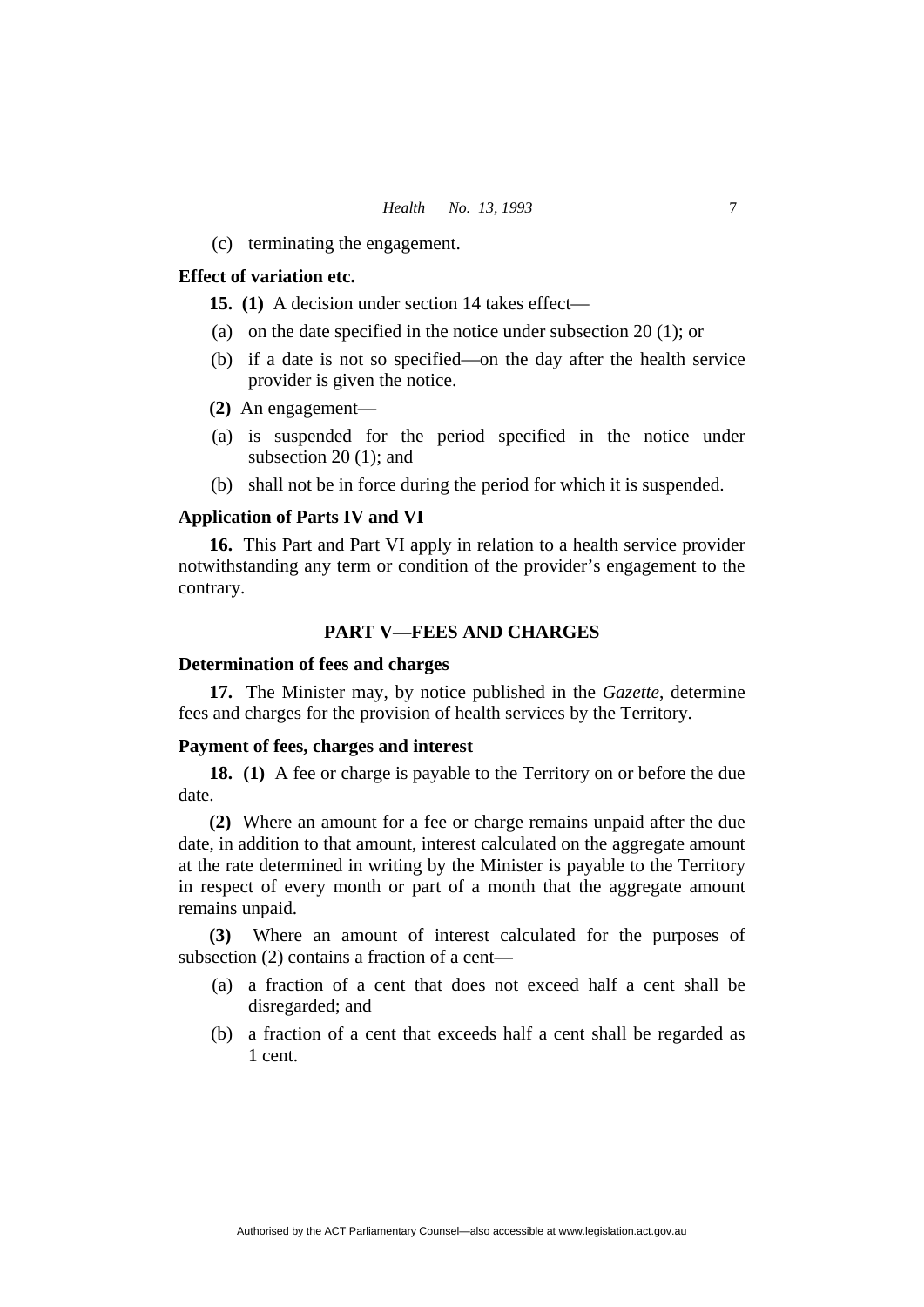(c) terminating the engagement.

#### **Effect of variation etc.**

**15. (1)** A decision under section 14 takes effect—

- (a) on the date specified in the notice under subsection 20 (1); or
- (b) if a date is not so specified—on the day after the health service provider is given the notice.
- **(2)** An engagement—
- (a) is suspended for the period specified in the notice under subsection 20 (1); and
- (b) shall not be in force during the period for which it is suspended.

#### **Application of Parts IV and VI**

**16.** This Part and Part VI apply in relation to a health service provider notwithstanding any term or condition of the provider's engagement to the contrary.

#### **PART V—FEES AND CHARGES**

#### **Determination of fees and charges**

**17.** The Minister may, by notice published in the *Gazette*, determine fees and charges for the provision of health services by the Territory.

#### **Payment of fees, charges and interest**

**18. (1)** A fee or charge is payable to the Territory on or before the due date.

**(2)** Where an amount for a fee or charge remains unpaid after the due date, in addition to that amount, interest calculated on the aggregate amount at the rate determined in writing by the Minister is payable to the Territory in respect of every month or part of a month that the aggregate amount remains unpaid.

**(3)** Where an amount of interest calculated for the purposes of subsection (2) contains a fraction of a cent—

- (a) a fraction of a cent that does not exceed half a cent shall be disregarded; and
- (b) a fraction of a cent that exceeds half a cent shall be regarded as 1 cent.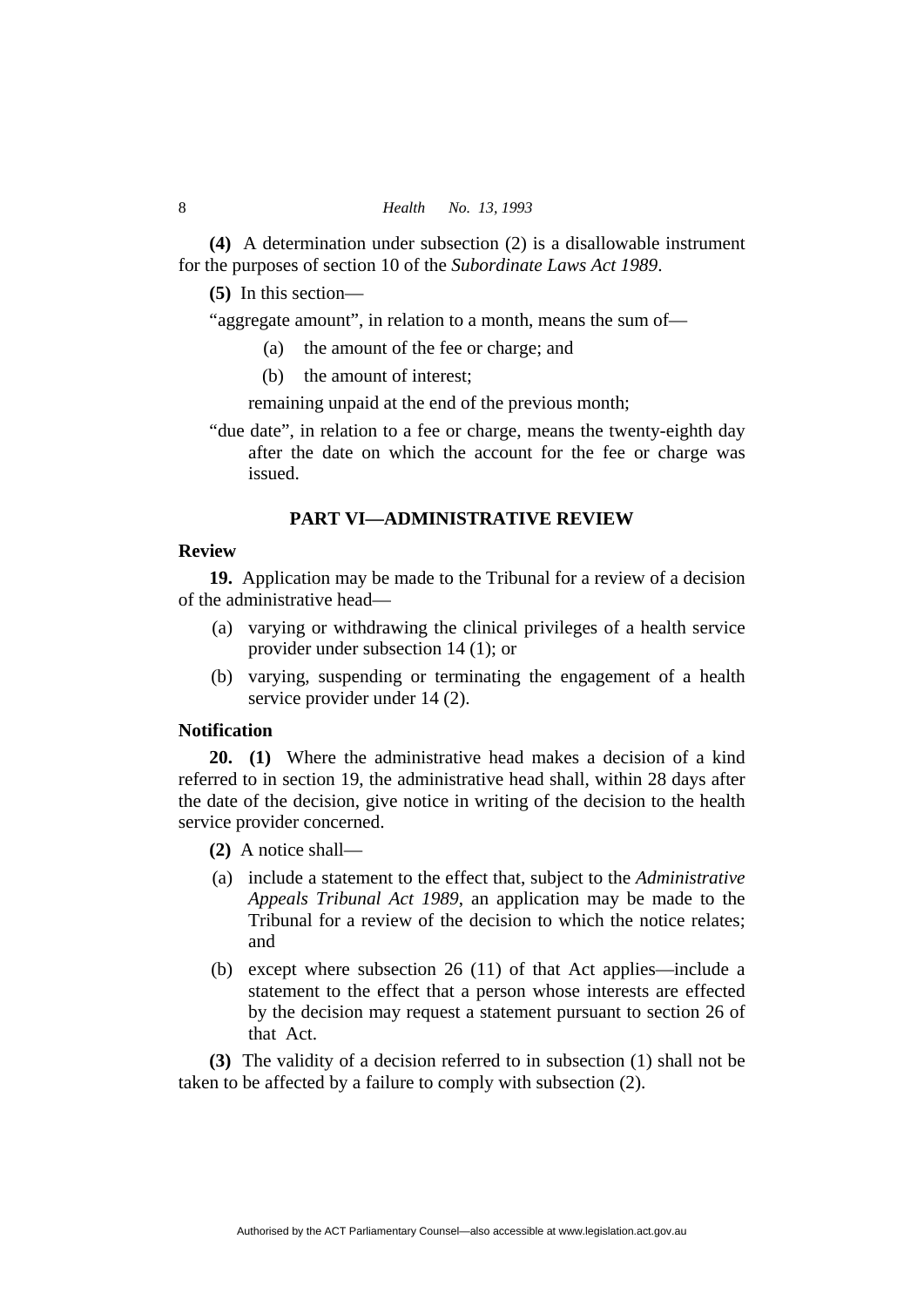**(4)** A determination under subsection (2) is a disallowable instrument for the purposes of section 10 of the *Subordinate Laws Act 1989*.

**(5)** In this section—

"aggregate amount", in relation to a month, means the sum of—

- (a) the amount of the fee or charge; and
- (b) the amount of interest;

remaining unpaid at the end of the previous month;

"due date", in relation to a fee or charge, means the twenty-eighth day after the date on which the account for the fee or charge was issued.

#### **PART VI—ADMINISTRATIVE REVIEW**

# **Review**

**19.** Application may be made to the Tribunal for a review of a decision of the administrative head—

- (a) varying or withdrawing the clinical privileges of a health service provider under subsection 14 (1); or
- (b) varying, suspending or terminating the engagement of a health service provider under 14 (2).

### **Notification**

**20. (1)** Where the administrative head makes a decision of a kind referred to in section 19, the administrative head shall, within 28 days after the date of the decision, give notice in writing of the decision to the health service provider concerned.

**(2)** A notice shall—

- (a) include a statement to the effect that, subject to the *Administrative Appeals Tribunal Act 1989*, an application may be made to the Tribunal for a review of the decision to which the notice relates; and
- (b) except where subsection 26 (11) of that Act applies—include a statement to the effect that a person whose interests are effected by the decision may request a statement pursuant to section 26 of that Act.

**(3)** The validity of a decision referred to in subsection (1) shall not be taken to be affected by a failure to comply with subsection (2).